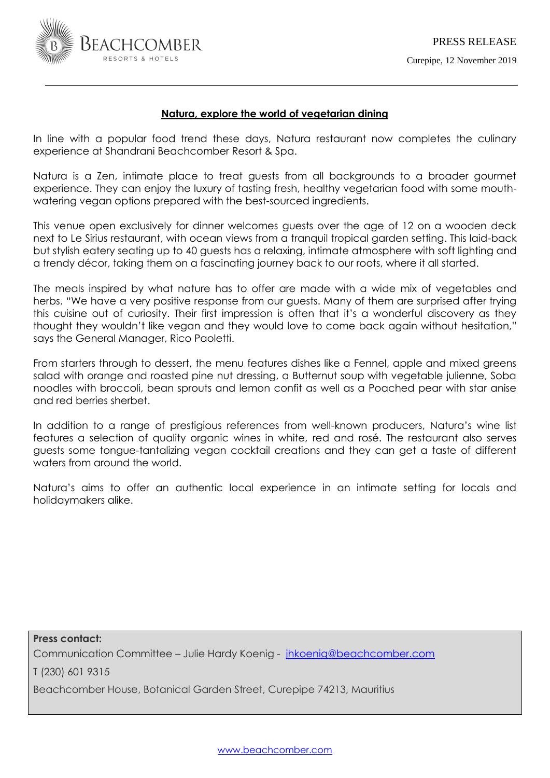

# **Natura, explore the world of vegetarian dining**

In line with a popular food trend these days, Natura restaurant now completes the culinary experience at Shandrani Beachcomber Resort & Spa.

Natura is a Zen, intimate place to treat guests from all backgrounds to a broader gourmet experience. They can enjoy the luxury of tasting fresh, healthy vegetarian food with some mouthwatering vegan options prepared with the best-sourced ingredients.

This venue open exclusively for dinner welcomes guests over the age of 12 on a wooden deck next to Le Sirius restaurant, with ocean views from a tranquil tropical garden setting. This laid-back but stylish eatery seating up to 40 guests has a relaxing, intimate atmosphere with soft lighting and a trendy décor, taking them on a fascinating journey back to our roots, where it all started.

The meals inspired by what nature has to offer are made with a wide mix of vegetables and herbs. "We have a very positive response from our guests. Many of them are surprised after trying this cuisine out of curiosity. Their first impression is often that it's a wonderful discovery as they thought they wouldn't like vegan and they would love to come back again without hesitation," says the General Manager, Rico Paoletti.

From starters through to dessert, the menu features dishes like a Fennel, apple and mixed greens salad with orange and roasted pine nut dressing, a Butternut soup with vegetable julienne, Soba noodles with broccoli, bean sprouts and lemon confit as well as a Poached pear with star anise and red berries sherbet.

In addition to a range of prestigious references from well-known producers, Natura's wine list features a selection of quality organic wines in white, red and rosé. The restaurant also serves guests some tongue-tantalizing vegan cocktail creations and they can get a taste of different waters from around the world.

Natura's aims to offer an authentic local experience in an intimate setting for locals and holidaymakers alike.

**Press contact:**  Communication Committee – Julie Hardy Koenig - [jhkoenig@beachcomber.com](mailto:jhkoenig@beachcomber.com)  T (230) 601 9315 Beachcomber House, Botanical Garden Street, Curepipe 74213, Mauritius